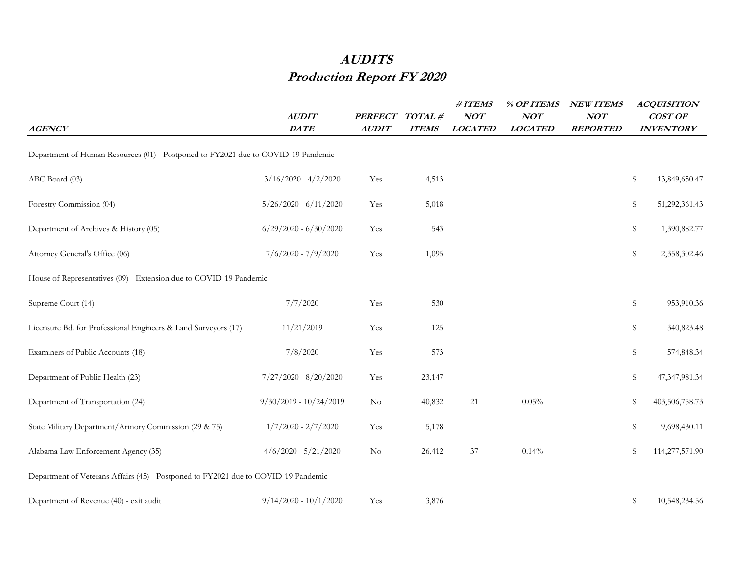## **AUDITS Production Report FY 2020**

| <b>AGENCY</b>                                                                      | <b>AUDIT</b><br>$\mathit{DATE}$ | <b>PERFECT</b><br><b>AUDIT</b> | TOTAL#<br><b>ITEMS</b> | #ITEMS<br><b>NOT</b><br><b>LOCATED</b> | % OF ITEMS<br>NOT<br><b>LOCATED</b> | <b>NEW ITEMS</b><br>NOT<br><b>REPORTED</b> | <b>ACQUISITION</b><br>COST OF<br><b>INVENTORY</b> |                  |
|------------------------------------------------------------------------------------|---------------------------------|--------------------------------|------------------------|----------------------------------------|-------------------------------------|--------------------------------------------|---------------------------------------------------|------------------|
| Department of Human Resources (01) - Postponed to FY2021 due to COVID-19 Pandemic  |                                 |                                |                        |                                        |                                     |                                            |                                                   |                  |
|                                                                                    |                                 |                                |                        |                                        |                                     |                                            |                                                   |                  |
| ABC Board (03)                                                                     | $3/16/2020 - 4/2/2020$          | Yes                            | 4,513                  |                                        |                                     |                                            | $\mathbb S$                                       | 13,849,650.47    |
| Forestry Commission (04)                                                           | $5/26/2020 - 6/11/2020$         | Yes                            | 5,018                  |                                        |                                     |                                            | \$                                                | 51,292,361.43    |
| Department of Archives & History (05)                                              | $6/29/2020 - 6/30/2020$         | Yes                            | 543                    |                                        |                                     |                                            | \$                                                | 1,390,882.77     |
| Attorney General's Office (06)                                                     | $7/6/2020 - 7/9/2020$           | Yes                            | 1,095                  |                                        |                                     |                                            | \$                                                | 2,358,302.46     |
| House of Representatives (09) - Extension due to COVID-19 Pandemic                 |                                 |                                |                        |                                        |                                     |                                            |                                                   |                  |
| Supreme Court (14)                                                                 | 7/7/2020                        | Yes                            | 530                    |                                        |                                     |                                            | \$                                                | 953,910.36       |
| Licensure Bd. for Professional Engineers & Land Surveyors (17)                     | 11/21/2019                      | Yes                            | 125                    |                                        |                                     |                                            | \$                                                | 340,823.48       |
| Examiners of Public Accounts (18)                                                  | 7/8/2020                        | Yes                            | 573                    |                                        |                                     |                                            | \$                                                | 574,848.34       |
| Department of Public Health (23)                                                   | $7/27/2020 - 8/20/2020$         | Yes                            | 23,147                 |                                        |                                     |                                            | \$                                                | 47, 347, 981. 34 |
| Department of Transportation (24)                                                  | $9/30/2019 - 10/24/2019$        | N <sub>o</sub>                 | 40,832                 | 21                                     | 0.05%                               |                                            | \$                                                | 403,506,758.73   |
| State Military Department/Armory Commission (29 & 75)                              | $1/7/2020 - 2/7/2020$           | Yes                            | 5,178                  |                                        |                                     |                                            | \$                                                | 9,698,430.11     |
| Alabama Law Enforcement Agency (35)                                                | $4/6/2020 - 5/21/2020$          | $\rm No$                       | 26,412                 | 37                                     | 0.14%                               | $\sim$                                     | \$                                                | 114,277,571.90   |
| Department of Veterans Affairs (45) - Postponed to FY2021 due to COVID-19 Pandemic |                                 |                                |                        |                                        |                                     |                                            |                                                   |                  |
| Department of Revenue (40) - exit audit                                            | $9/14/2020 - 10/1/2020$         | Yes                            | 3,876                  |                                        |                                     |                                            | \$                                                | 10,548,234.56    |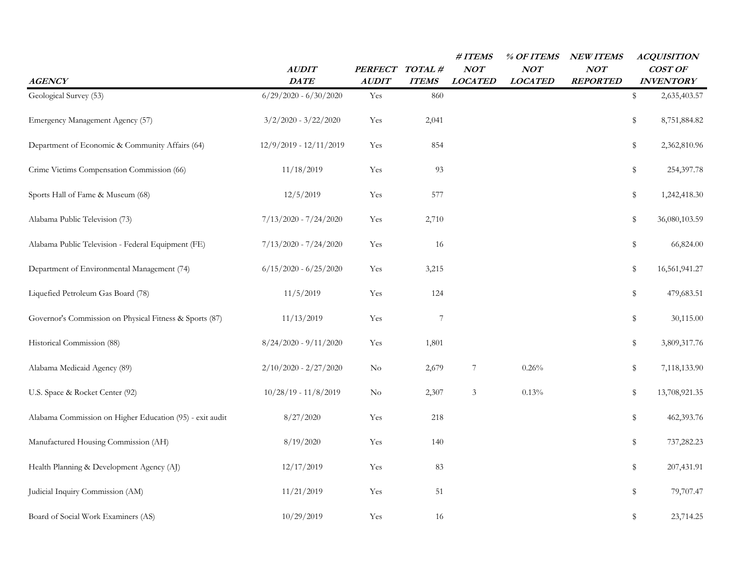| <b>AGENCY</b>                                            | <b>AUDIT</b><br>$\mathcal{DATE}$ | PERFECT TOTAL #<br><b>AUDIT</b> | <b>ITEMS</b>     | # ITEMS<br>NOT<br><b>LOCATED</b> | % OF ITEMS<br>NOT<br><b>LOCATED</b> | <b>NEW ITEMS</b><br>NOT<br><b>REPORTED</b> | <b>ACQUISITION</b><br>COST OF<br><b>INVENTORY</b> |
|----------------------------------------------------------|----------------------------------|---------------------------------|------------------|----------------------------------|-------------------------------------|--------------------------------------------|---------------------------------------------------|
| Geological Survey (53)                                   | $6/29/2020 - 6/30/2020$          | Yes                             | 860              |                                  |                                     |                                            | \$<br>2,635,403.57                                |
| Emergency Management Agency (57)                         | $3/2/2020 - 3/22/2020$           | Yes                             | 2,041            |                                  |                                     |                                            | \$<br>8,751,884.82                                |
| Department of Economic & Community Affairs (64)          | 12/9/2019 - 12/11/2019           | Yes                             | 854              |                                  |                                     |                                            | \$<br>2,362,810.96                                |
| Crime Victims Compensation Commission (66)               | 11/18/2019                       | Yes                             | 93               |                                  |                                     |                                            | \$<br>254,397.78                                  |
| Sports Hall of Fame & Museum (68)                        | 12/5/2019                        | Yes                             | 577              |                                  |                                     |                                            | \$<br>1,242,418.30                                |
| Alabama Public Television (73)                           | $7/13/2020 - 7/24/2020$          | Yes                             | 2,710            |                                  |                                     |                                            | \$<br>36,080,103.59                               |
| Alabama Public Television - Federal Equipment (FE)       | $7/13/2020 - 7/24/2020$          | Yes                             | 16               |                                  |                                     |                                            | \$<br>66,824.00                                   |
| Department of Environmental Management (74)              | $6/15/2020 - 6/25/2020$          | Yes                             | 3,215            |                                  |                                     |                                            | \$<br>16,561,941.27                               |
| Liquefied Petroleum Gas Board (78)                       | 11/5/2019                        | Yes                             | 124              |                                  |                                     |                                            | \$<br>479,683.51                                  |
| Governor's Commission on Physical Fitness & Sports (87)  | 11/13/2019                       | Yes                             | $\boldsymbol{7}$ |                                  |                                     |                                            | \$<br>30,115.00                                   |
| Historical Commission (88)                               | $8/24/2020 - 9/11/2020$          | Yes                             | 1,801            |                                  |                                     |                                            | \$<br>3,809,317.76                                |
| Alabama Medicaid Agency (89)                             | $2/10/2020 - 2/27/2020$          | $\rm No$                        | 2,679            | 7                                | 0.26%                               |                                            | \$<br>7,118,133.90                                |
| U.S. Space & Rocket Center (92)                          | $10/28/19 - 11/8/2019$           | $\rm No$                        | 2,307            | $\ensuremath{\mathfrak{Z}}$      | 0.13%                               |                                            | \$<br>13,708,921.35                               |
| Alabama Commission on Higher Education (95) - exit audit | 8/27/2020                        | Yes                             | 218              |                                  |                                     |                                            | \$<br>462,393.76                                  |
| Manufactured Housing Commission (AH)                     | 8/19/2020                        | Yes                             | 140              |                                  |                                     |                                            | \$<br>737,282.23                                  |
| Health Planning & Development Agency (AJ)                | 12/17/2019                       | Yes                             | 83               |                                  |                                     |                                            | \$<br>207,431.91                                  |
| Judicial Inquiry Commission (AM)                         | 11/21/2019                       | Yes                             | 51               |                                  |                                     |                                            | \$<br>79,707.47                                   |
| Board of Social Work Examiners (AS)                      | 10/29/2019                       | Yes                             | 16               |                                  |                                     |                                            | \$<br>23,714.25                                   |